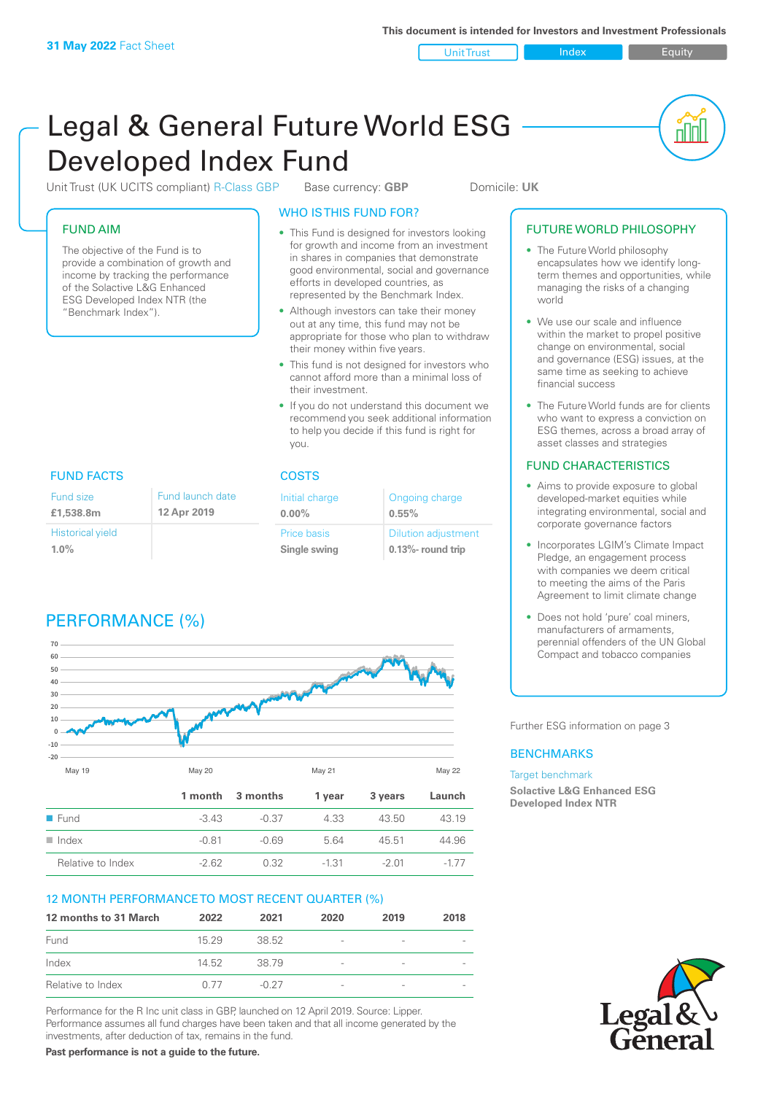Unit Trust Index **Index** Equity

<u>nd</u>

# Legal & General Future World ESG Developed Index Fund

Unit Trust (UK UCITS compliant) R-Class GBP Base currency: **GBP** Domicile: UK

## FUND AIM

The objective of the Fund is to provide a combination of growth and income by tracking the performance of the Solactive L&G Enhanced ESG Developed Index NTR (the "Benchmark Index").

## WHO IS THIS FUND FOR?

- This Fund is designed for investors looking for growth and income from an investment in shares in companies that demonstrate good environmental, social and governance efforts in developed countries, as represented by the Benchmark Index.
- Although investors can take their money out at any time, this fund may not be appropriate for those who plan to withdraw their money within five years.
- This fund is not designed for investors who cannot afford more than a minimal loss of their investment.
- If you do not understand this document we recommend you seek additional information to help you decide if this fund is right for you.

## FUND FACTS COSTS

| Fund size               | Fund launch date | Initial charge     | Ongoing charge             |
|-------------------------|------------------|--------------------|----------------------------|
| £1,538,8m               | 12 Apr 2019      | $0.00\%$           | $0.55\%$                   |
| <b>Historical yield</b> |                  | <b>Price basis</b> | <b>Dilution adjustment</b> |
| $1.0\%$                 |                  | Single swing       | $0.13\%$ - round trip      |

## PERFORMANCE (%)



## 12 MONTH PERFORMANCE TO MOST RECENT QUARTER (%)

| 12 months to 31 March | 2022  | 2021    | 2020                     | 2019                     | 2018 |
|-----------------------|-------|---------|--------------------------|--------------------------|------|
| Fund                  | 1529  | 38.52   | -                        | $\overline{\phantom{a}}$ |      |
| Index                 | 14.52 | 38 79   | $\overline{\phantom{a}}$ | $\overline{\phantom{a}}$ |      |
| Relative to Index     | 0.77  | $-0.27$ | -                        | $\overline{\phantom{a}}$ |      |

Performance for the R Inc unit class in GBP, launched on 12 April 2019. Source: Lipper. Performance assumes all fund charges have been taken and that all income generated by the investments, after deduction of tax, remains in the fund.

**Past performance is not a guide to the future.**

## FUTURE WORLD PHILOSOPHY

- The Future World philosophy encapsulates how we identify longterm themes and opportunities, while managing the risks of a changing world
- We use our scale and influence within the market to propel positive change on environmental, social and governance (ESG) issues, at the same time as seeking to achieve financial success
- The Future World funds are for clients who want to express a conviction on ESG themes, across a broad array of asset classes and strategies

## FUND CHARACTERISTICS

- Aims to provide exposure to global developed-market equities while integrating environmental, social and corporate governance factors
- Incorporates LGIM's Climate Impact Pledge, an engagement process with companies we deem critical to meeting the aims of the Paris Agreement to limit climate change
- Does not hold 'pure' coal miners, manufacturers of armaments, perennial offenders of the UN Global Compact and tobacco companies

Further ESG information on page 3

## **BENCHMARKS**

### Target benchmark

**Solactive L&G Enhanced ESG Developed Index NTR**

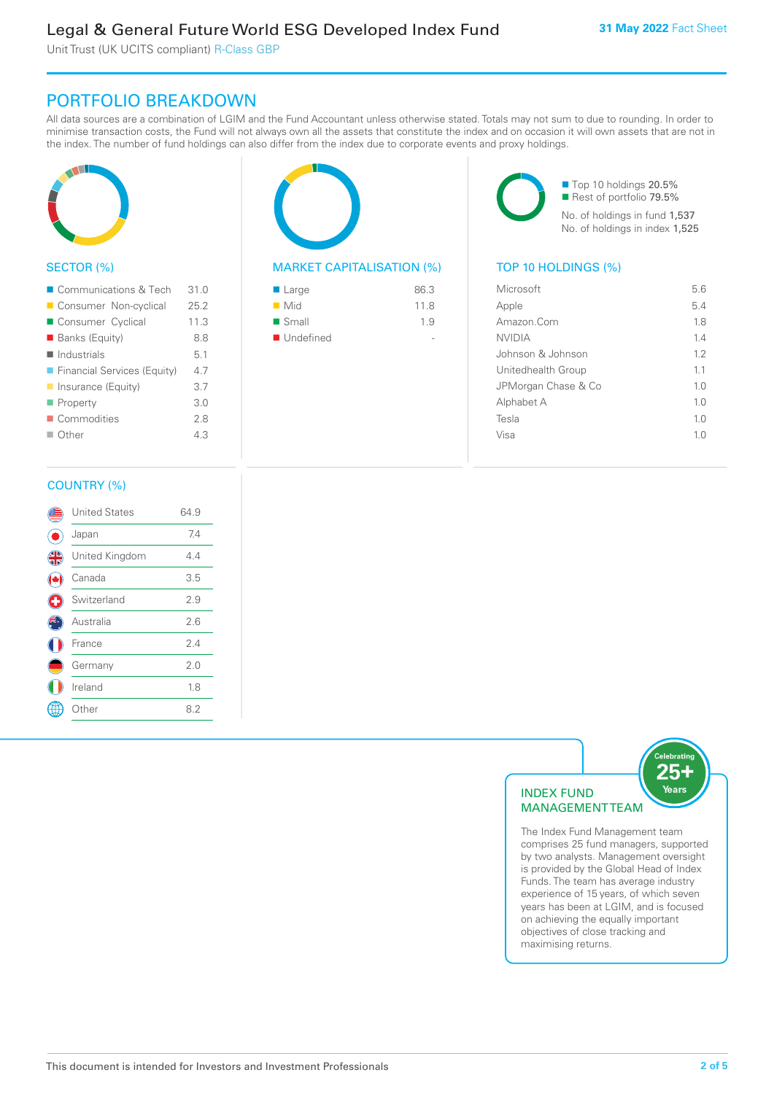Unit Trust (UK UCITS compliant) R-Class GBP

## PORTFOLIO BREAKDOWN

All data sources are a combination of LGIM and the Fund Accountant unless otherwise stated. Totals may not sum to due to rounding. In order to minimise transaction costs, the Fund will not always own all the assets that constitute the index and on occasion it will own assets that are not in the index. The number of fund holdings can also differ from the index due to corporate events and proxy holdings.



## SECTOR (%)

| ■ Communications & Tech     | 310  |
|-----------------------------|------|
| Consumer Non-cyclical       | 25.2 |
| Consumer Cyclical           | 11.3 |
| <b>Banks (Equity)</b>       | 8.8  |
| $\blacksquare$ Industrials  | 5.1  |
| Financial Services (Equity) | 4.7  |
| Insurance (Equity)          | 3.7  |
| Property                    | 3.0  |
| Commodities                 | 2.8  |
| $\blacksquare$ Other        | 4.3  |
|                             |      |



## MARKET CAPITALISATION (%) TOP 10 HOLDINGS (%)

| ■ Large              | 86.3 |
|----------------------|------|
| $\blacksquare$ Mid   | 118  |
| $\blacksquare$ Small | 19   |
| ■ Undefined          |      |

■ Top 10 holdings 20.5% Rest of portfolio 79.5% No. of holdings in fund 1,537 No. of holdings in index 1,525

| Microsoft           | 56             |
|---------------------|----------------|
| Apple               | 5.4            |
| Amazon.Com          | 18             |
| <b>NVIDIA</b>       | 14             |
| Johnson & Johnson   | 12             |
| Unitedhealth Group  | 1.1            |
| JPMorgan Chase & Co | 1.0            |
| Alphabet A          | 1 <sub>0</sub> |
| Tesla               | 1 <sub>0</sub> |
| Visa                | 10             |
|                     |                |

## COUNTRY (%)

|   | <b>United States</b> | 64.9 |  |
|---|----------------------|------|--|
|   | Japan                | 7.4  |  |
| 4 | United Kingdom       | 4.4  |  |
|   | Canada               | 3.5  |  |
| Œ | Switzerland          | 2.9  |  |
|   | Australia            | 2.6  |  |
|   | France               | 2.4  |  |
|   | Germany              | 2.0  |  |
|   | Ireland              | 1.8  |  |
|   | Other                | 8.2  |  |
|   |                      |      |  |



The Index Fund Management team comprises 25 fund managers, supported by two analysts. Management oversight is provided by the Global Head of Index Funds. The team has average industry experience of 15 years, of which seven years has been at LGIM, and is focused on achieving the equally important objectives of close tracking and maximising returns.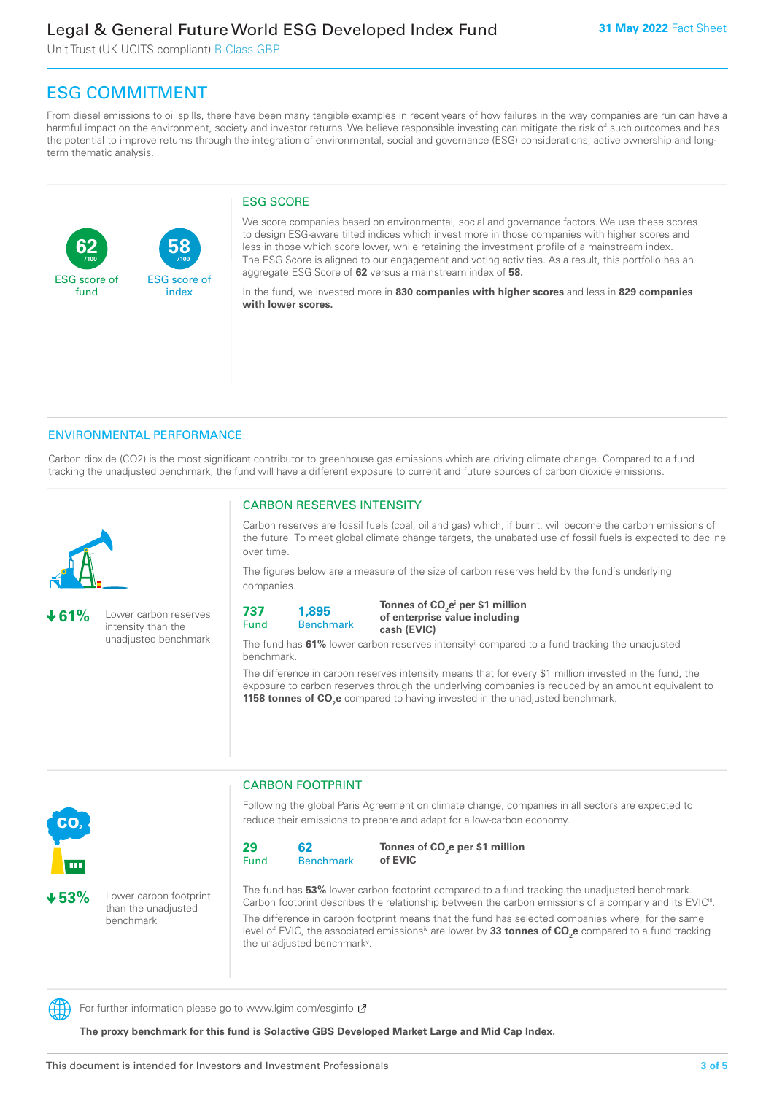## Legal & General Future World ESG Developed Index Fund

Unit Trust (UK UCITS compliant) R-Class GBP

## ESG COMMITMENT

From diesel emissions to oil spills, there have been many tangible examples in recent years of how failures in the way companies are run can have a harmful impact on the environment, society and investor returns. We believe responsible investing can mitigate the risk of such outcomes and has the potential to improve returns through the integration of environmental, social and governance (ESG) considerations, active ownership and longterm thematic analysis.

## ESG SCORE

**62** ESG score of fund **58** ESG score of index **/100 /100**

We score companies based on environmental, social and governance factors. We use these scores to design ESG-aware tilted indices which invest more in those companies with higher scores and less in those which score lower, while retaining the investment profile of a mainstream index. The ESG Score is aligned to our engagement and voting activities. As a result, this portfolio has an aggregate ESG Score of **62** versus a mainstream index of **58.**

In the fund, we invested more in **830 companies with higher scores** and less in **829 companies with lower scores.**

### ENVIRONMENTAL PERFORMANCE

Carbon dioxide (CO2) is the most significant contributor to greenhouse gas emissions which are driving climate change. Compared to a fund tracking the unadjusted benchmark, the fund will have a different exposure to current and future sources of carbon dioxide emissions.



**61%** Lower carbon reserves intensity than the unadjusted benchmark

**53%** Lower carbon footprint than the unadiusted benchmark

## CARBON RESERVES INTENSITY

Carbon reserves are fossil fuels (coal, oil and gas) which, if burnt, will become the carbon emissions of the future. To meet global climate change targets, the unabated use of fossil fuels is expected to decline over time.

The figures below are a measure of the size of carbon reserves held by the fund's underlying companies.

**737** Fund **1,895**

Benchmark

Tonnes of CO<sub>2</sub>e<sup>i</sup> per \$1 million **of enterprise value including cash (EVIC)**

The fund has **61%** lower carbon reserves intensityii compared to a fund tracking the unadjusted benchmark.

The difference in carbon reserves intensity means that for every \$1 million invested in the fund, the exposure to carbon reserves through the underlying companies is reduced by an amount equivalent to **1158 tonnes of CO<sub>2</sub>e** compared to having invested in the unadjusted benchmark.



CARBON FOOTPRINT

Following the global Paris Agreement on climate change, companies in all sectors are expected to reduce their emissions to prepare and adapt for a low-carbon economy.



Tonnes of CO<sub>2</sub>e per \$1 million **of EVIC**

The fund has **53%** lower carbon footprint compared to a fund tracking the unadjusted benchmark. Carbon footprint describes the relationship between the carbon emissions of a company and its EVIC<sup>ii</sup>. The difference in carbon footprint means that the fund has selected companies where, for the same level of EVIC, the associated emissionsi<sup>v</sup> are lower by **33 tonnes of CO<sub>2</sub>e** compared to a fund tracking the unadjusted benchmark<sup>v</sup>.

For further information please go to www.lgim.com/esginfo  $\sigma$ 

**The proxy benchmark for this fund is Solactive GBS Developed Market Large and Mid Cap Index.**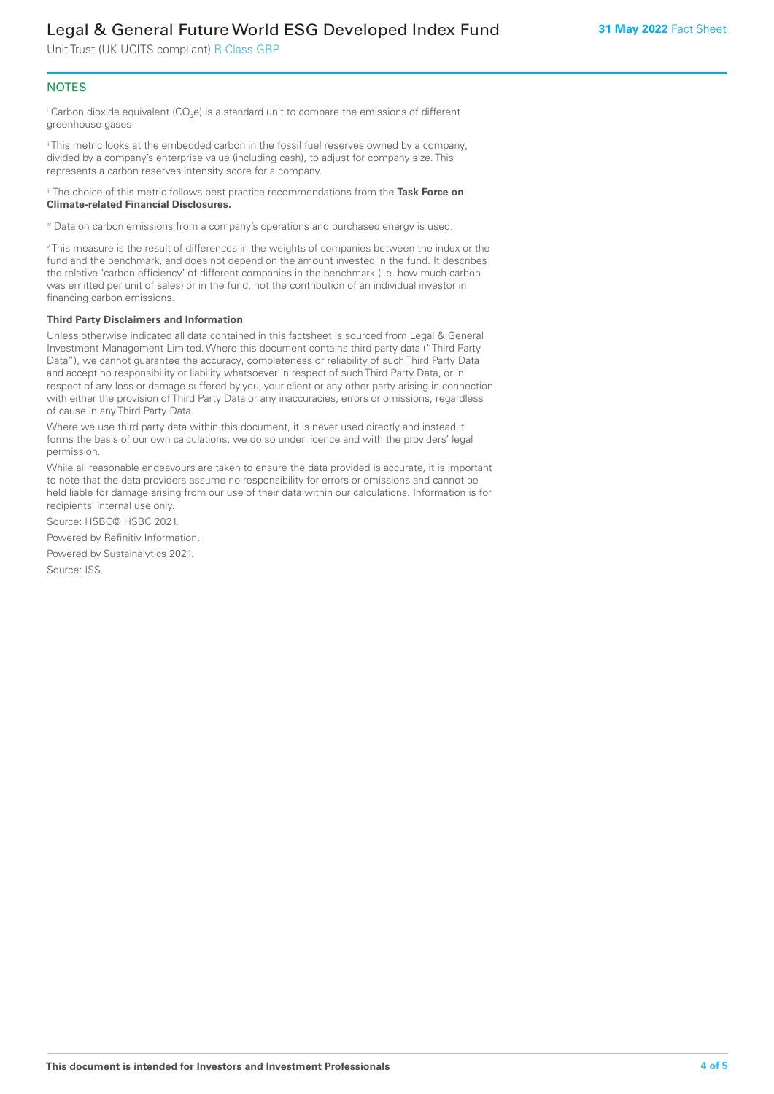## Legal & General Future World ESG Developed Index Fund

Unit Trust (UK UCITS compliant) R-Class GBP

## **NOTES**

 $^\mathrm{i}$  Carbon dioxide equivalent (CO<sub>2</sub>e) is a standard unit to compare the emissions of different greenhouse gases.

ii This metric looks at the embedded carbon in the fossil fuel reserves owned by a company, divided by a company's enterprise value (including cash), to adjust for company size. This represents a carbon reserves intensity score for a company.

iii The choice of this metric follows best practice recommendations from the **Task Force on Climate-related Financial Disclosures.**

iv Data on carbon emissions from a company's operations and purchased energy is used.

v This measure is the result of differences in the weights of companies between the index or the fund and the benchmark, and does not depend on the amount invested in the fund. It describes the relative 'carbon efficiency' of different companies in the benchmark (i.e. how much carbon was emitted per unit of sales) or in the fund, not the contribution of an individual investor in financing carbon emissions.

#### **Third Party Disclaimers and Information**

Unless otherwise indicated all data contained in this factsheet is sourced from Legal & General Investment Management Limited. Where this document contains third party data ("Third Party Data"), we cannot guarantee the accuracy, completeness or reliability of such Third Party Data and accept no responsibility or liability whatsoever in respect of such Third Party Data, or in respect of any loss or damage suffered by you, your client or any other party arising in connection with either the provision of Third Party Data or any inaccuracies, errors or omissions, regardless of cause in any Third Party Data.

Where we use third party data within this document, it is never used directly and instead it forms the basis of our own calculations; we do so under licence and with the providers' legal permission.

While all reasonable endeavours are taken to ensure the data provided is accurate, it is important to note that the data providers assume no responsibility for errors or omissions and cannot be held liable for damage arising from our use of their data within our calculations. Information is for recipients' internal use only.

Source: HSBC© HSBC 2021.

Powered by Refinitiv Information.

Powered by Sustainalytics 2021.

Source: ISS.